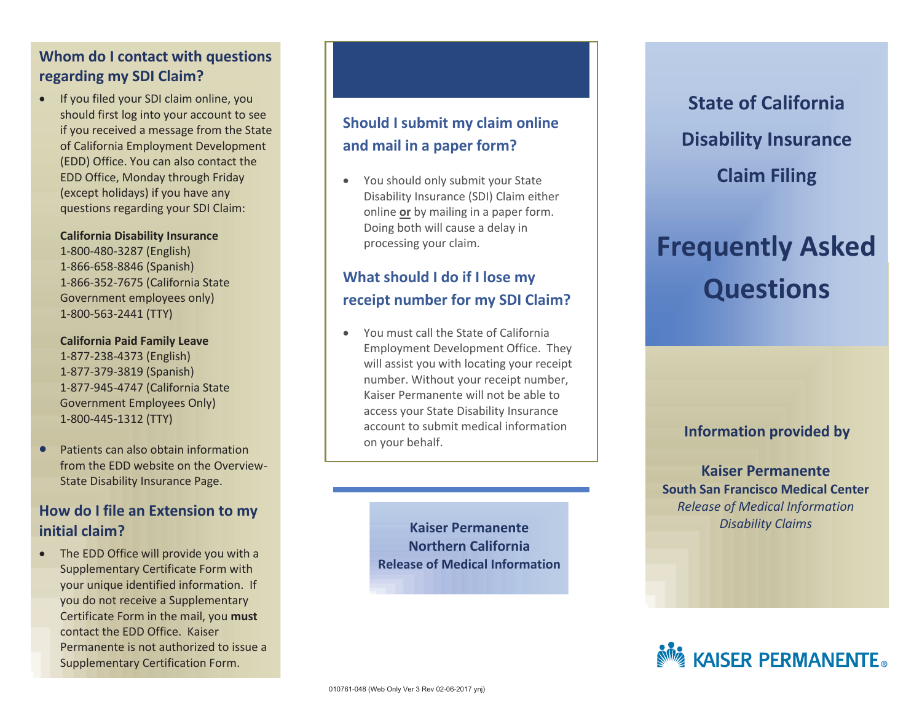## **Whom do I contact with questions regarding my SDI Claim?**

 If you filed your SDI claim online, you should first log into your account to see if you received a message from the State of California Employment Development (EDD) Office. You can also contact the EDD Office, Monday through Friday (except holidays) if you have any questions regarding your SDI Claim:

#### **California Disability Insurance**

1-800-480-3287 (English) 1-866-658-8846 (Spanish) 1-866-352-7675 (California State Government employees only) 1-800-563-2441 (TTY)

**California Paid Family Leave** 1-877-238-4373 (English)

1-877-379-3819 (Spanish) 1-877-945-4747 (California State Government Employees Only) 1-800-445-1312 (TTY)

**•** Patients can also obtain information from the EDD website on the Overview-State Disability Insurance Page.

## **How do I file an Extension to my initial claim?**

• The EDD Office will provide you with a Supplementary Certificate Form with your unique identified information. If you do not receive a Supplementary Certificate Form in the mail, you **must** contact the EDD Office. Kaiser Permanente is not authorized to issue a Supplementary Certification Form.

# **Should I submit my claim online and mail in a paper form?**

 You should only submit your State Disability Insurance (SDI) Claim either online **or** by mailing in a paper form. Doing both will cause a delay in processing your claim.

# **What should I do if I lose my receipt number for my SDI Claim?**

 You must call the State of California Employment Development Office. They will assist you with locating your receipt number. Without your receipt number, Kaiser Permanente will not be able to access your State Disability Insurance account to submit medical information on your behalf.

> **Kaiser Permanente Northern California Release of Medical Information**

**State of California Disability Insurance Claim Filing** 

# **Frequently Asked Questions**

### **Information provided by**

**Kaiser Permanente South San Francisco Medical Center**  *Release of Medical Information Disability Claims*